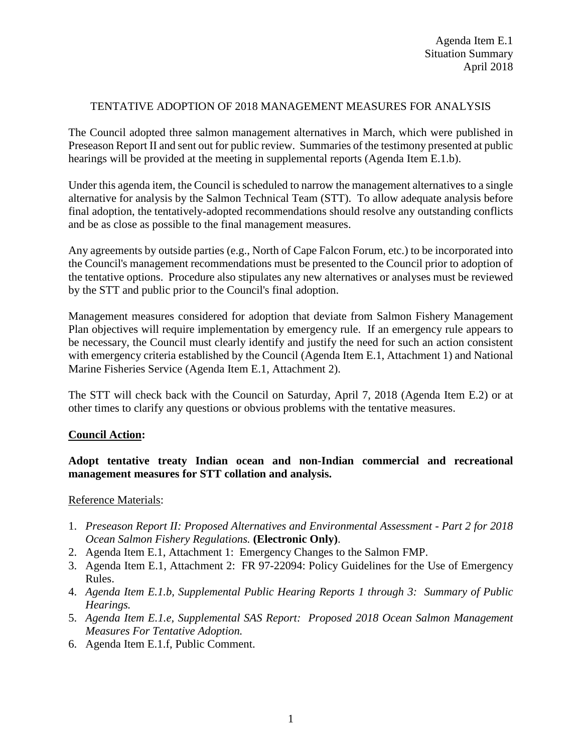#### TENTATIVE ADOPTION OF 2018 MANAGEMENT MEASURES FOR ANALYSIS

The Council adopted three salmon management alternatives in March, which were published in Preseason Report II and sent out for public review. Summaries of the testimony presented at public hearings will be provided at the meeting in supplemental reports (Agenda Item E.1.b).

Under this agenda item, the Council is scheduled to narrow the management alternatives to a single alternative for analysis by the Salmon Technical Team (STT). To allow adequate analysis before final adoption, the tentatively-adopted recommendations should resolve any outstanding conflicts and be as close as possible to the final management measures.

Any agreements by outside parties (e.g., North of Cape Falcon Forum, etc.) to be incorporated into the Council's management recommendations must be presented to the Council prior to adoption of the tentative options. Procedure also stipulates any new alternatives or analyses must be reviewed by the STT and public prior to the Council's final adoption.

Management measures considered for adoption that deviate from Salmon Fishery Management Plan objectives will require implementation by emergency rule. If an emergency rule appears to be necessary, the Council must clearly identify and justify the need for such an action consistent with emergency criteria established by the Council (Agenda Item E.1, Attachment 1) and National Marine Fisheries Service (Agenda Item E.1, Attachment 2).

The STT will check back with the Council on Saturday, April 7, 2018 (Agenda Item E.2) or at other times to clarify any questions or obvious problems with the tentative measures.

# **Council Action:**

# **Adopt tentative treaty Indian ocean and non-Indian commercial and recreational management measures for STT collation and analysis.**

#### Reference Materials:

- 1. *Preseason Report II: Proposed Alternatives and Environmental Assessment - Part 2 for 2018 Ocean Salmon Fishery Regulations.* **(Electronic Only)**.
- 2. Agenda Item E.1, Attachment 1: Emergency Changes to the Salmon FMP.
- 3. Agenda Item E.1, Attachment 2: FR 97-22094: Policy Guidelines for the Use of Emergency Rules.
- 4. *Agenda Item E.1.b, Supplemental Public Hearing Reports 1 through 3: Summary of Public Hearings.*
- 5. *Agenda Item E.1.e, Supplemental SAS Report: Proposed 2018 Ocean Salmon Management Measures For Tentative Adoption.*
- 6. Agenda Item E.1.f, Public Comment.